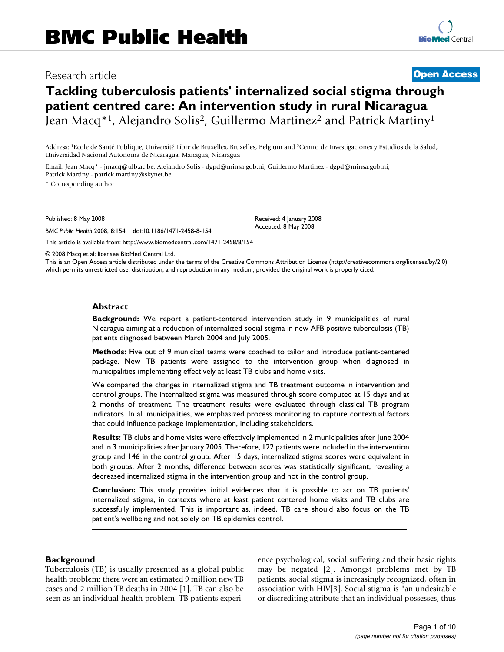## Research article **[Open Access](http://www.biomedcentral.com/info/about/charter/)**

# **Tackling tuberculosis patients' internalized social stigma through patient centred care: An intervention study in rural Nicaragua** Jean Macq<sup>\*1</sup>, Alejandro Solis<sup>2</sup>, Guillermo Martinez<sup>2</sup> and Patrick Martiny<sup>1</sup>

Address: 1Ecole de Santé Publique, Université Libre de Bruxelles, Bruxelles, Belgium and 2Centro de Investigaciones y Estudios de la Salud, Universidad Nacional Autonoma de Nicaragua, Managua, Nicaragua

Email: Jean Macq\* - jmacq@ulb.ac.be; Alejandro Solis - dgpd@minsa.gob.ni; Guillermo Martinez - dgpd@minsa.gob.ni; Patrick Martiny - patrick.martiny@skynet.be

\* Corresponding author

Published: 8 May 2008

*BMC Public Health* 2008, **8**:154 doi:10.1186/1471-2458-8-154

[This article is available from: http://www.biomedcentral.com/1471-2458/8/154](http://www.biomedcentral.com/1471-2458/8/154)

Received: 4 January 2008 Accepted: 8 May 2008

© 2008 Macq et al; licensee BioMed Central Ltd.

This is an Open Access article distributed under the terms of the Creative Commons Attribution License [\(http://creativecommons.org/licenses/by/2.0\)](http://creativecommons.org/licenses/by/2.0), which permits unrestricted use, distribution, and reproduction in any medium, provided the original work is properly cited.

#### **Abstract**

**Background:** We report a patient-centered intervention study in 9 municipalities of rural Nicaragua aiming at a reduction of internalized social stigma in new AFB positive tuberculosis (TB) patients diagnosed between March 2004 and July 2005.

**Methods:** Five out of 9 municipal teams were coached to tailor and introduce patient-centered package. New TB patients were assigned to the intervention group when diagnosed in municipalities implementing effectively at least TB clubs and home visits.

We compared the changes in internalized stigma and TB treatment outcome in intervention and control groups. The internalized stigma was measured through score computed at 15 days and at 2 months of treatment. The treatment results were evaluated through classical TB program indicators. In all municipalities, we emphasized process monitoring to capture contextual factors that could influence package implementation, including stakeholders.

**Results:** TB clubs and home visits were effectively implemented in 2 municipalities after June 2004 and in 3 municipalities after January 2005. Therefore, 122 patients were included in the intervention group and 146 in the control group. After 15 days, internalized stigma scores were equivalent in both groups. After 2 months, difference between scores was statistically significant, revealing a decreased internalized stigma in the intervention group and not in the control group.

**Conclusion:** This study provides initial evidences that it is possible to act on TB patients' internalized stigma, in contexts where at least patient centered home visits and TB clubs are successfully implemented. This is important as, indeed, TB care should also focus on the TB patient's wellbeing and not solely on TB epidemics control.

#### **Background**

Tuberculosis (TB) is usually presented as a global public health problem: there were an estimated 9 million new TB cases and 2 million TB deaths in 2004 [1]. TB can also be seen as an individual health problem. TB patients experience psychological, social suffering and their basic rights may be negated [2]. Amongst problems met by TB patients, social stigma is increasingly recognized, often in association with HIV[3]. Social stigma is "an undesirable or discrediting attribute that an individual possesses, thus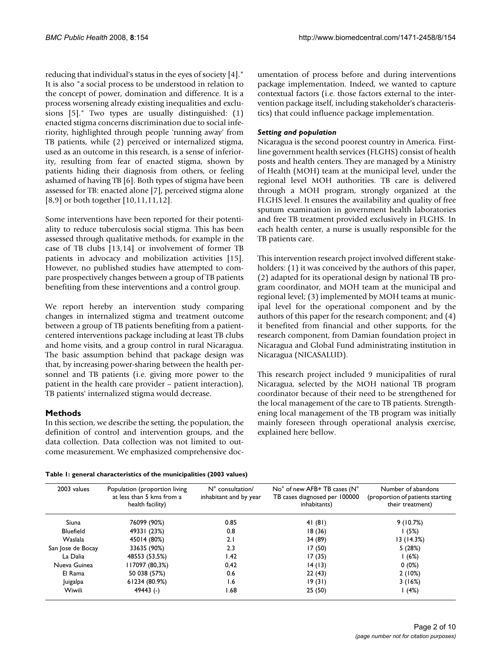reducing that individual's status in the eyes of society [4]." It is also "a social process to be understood in relation to the concept of power, domination and difference. It is a process worsening already existing inequalities and exclusions [5]." Two types are usually distinguished: (1) enacted stigma concerns discrimination due to social inferiority, highlighted through people 'running away' from TB patients, while (2) perceived or internalized stigma, used as an outcome in this research, is a sense of inferiority, resulting from fear of enacted stigma, shown by patients hiding their diagnosis from others, or feeling ashamed of having TB [6]. Both types of stigma have been assessed for TB: enacted alone [7], perceived stigma alone [8,9] or both together [10,11,11,12].

Some interventions have been reported for their potentiality to reduce tuberculosis social stigma. This has been assessed through qualitative methods, for example in the case of TB clubs [13,14] or involvement of former TB patients in advocacy and mobilization activities [15]. However, no published studies have attempted to compare prospectively changes between a group of TB patients benefiting from these interventions and a control group.

We report hereby an intervention study comparing changes in internalized stigma and treatment outcome between a group of TB patients benefiting from a patientcentered interventions package including at least TB clubs and home visits, and a group control in rural Nicaragua. The basic assumption behind that package design was that, by increasing power-sharing between the health personnel and TB patients (i.e. giving more power to the patient in the health care provider – patient interaction), TB patients' internalized stigma would decrease.

## **Methods**

In this section, we describe the setting, the population, the definition of control and intervention groups, and the data collection. Data collection was not limited to outcome measurement. We emphasized comprehensive documentation of process before and during interventions package implementation. Indeed, we wanted to capture contextual factors (i.e. those factors external to the intervention package itself, including stakeholder's characteristics) that could influence package implementation.

## *Setting and population*

Nicaragua is the second poorest country in America. Firstline government health services (FLGHS) consist of health posts and health centers. They are managed by a Ministry of Health (MOH) team at the municipal level, under the regional level MOH authorities. TB care is delivered through a MOH program, strongly organized at the FLGHS level. It ensures the availability and quality of free sputum examination in government health laboratories and free TB treatment provided exclusively in FLGHS. In each health center, a nurse is usually responsible for the TB patients care.

This intervention research project involved different stakeholders: (1) it was conceived by the authors of this paper, (2) adapted for its operational design by national TB program coordinator, and MOH team at the municipal and regional level; (3) implemented by MOH teams at municipal level for the operational component and by the authors of this paper for the research component; and (4) it benefited from financial and other supports, for the research component, from Damian foundation project in Nicaragua and Global Fund administrating institution in Nicaragua (NICASALUD).

This research project included 9 municipalities of rural Nicaragua, selected by the MOH national TB program coordinator because of their need to be strengthened for the local management of the care to TB patients. Strengthening local management of the TB program was initially mainly foreseen through operational analysis exercise, explained here bellow.

|  | Table 1: general characteristics of the municipalities (2003 values) |  |  |
|--|----------------------------------------------------------------------|--|--|
|  |                                                                      |  |  |

| 2003 values       | Population (proportion living<br>at less than 5 kms from a<br>health facility) | $N^{\circ}$ consultation/<br>inhabitant and by year | $No°$ of new AFB+ TB cases ( $N°$<br>TB cases diagnosed per 100000<br>inhabitants) | Number of abandons<br>(proportion of patients starting<br>their treatment) |
|-------------------|--------------------------------------------------------------------------------|-----------------------------------------------------|------------------------------------------------------------------------------------|----------------------------------------------------------------------------|
| Siuna             | 76099 (90%)                                                                    | 0.85                                                | 41(81)                                                                             | 9(10.7%)                                                                   |
| Bluefield         | 49331 (23%)                                                                    | 0.8                                                 | 18(36)                                                                             | (5%)                                                                       |
| Waslala           | 45014 (80%)                                                                    | 2.1                                                 | 34 (89)                                                                            | 13 (14.3%)                                                                 |
| San Jose de Bocay | 33635 (90%)                                                                    | 2.3                                                 | 17(50)                                                                             | 5(28%)                                                                     |
| La Dalia          | 48553 (53,5%)                                                                  | l.42                                                | 17(35)                                                                             | 1(6%)                                                                      |
| Nueva Guinea      | 117097 (80,3%)                                                                 | 0,42                                                | 14(13)                                                                             | $0(0\%)$                                                                   |
| El Rama           | 50 038 (57%)                                                                   | 0.6                                                 | 22(43)                                                                             | 2(10%)                                                                     |
| Juigalpa          | 61234 (80.9%)                                                                  | I.6                                                 | 19(31)                                                                             | 3(16%)                                                                     |
| Wiwili            | $49443$ (-)                                                                    | 68. ا                                               | 25(50)                                                                             | l (4%)                                                                     |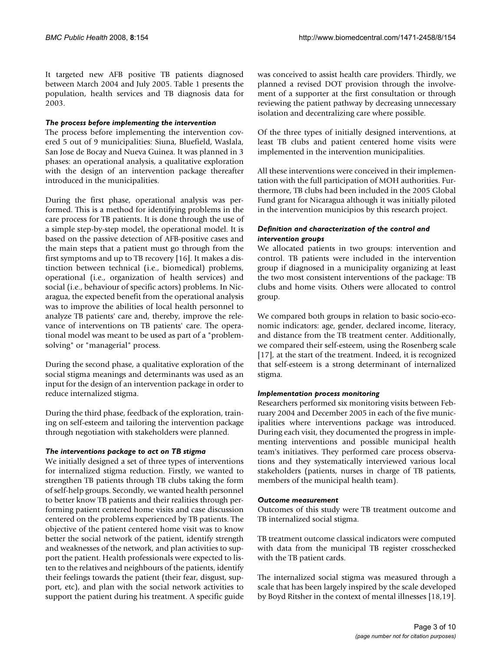It targeted new AFB positive TB patients diagnosed between March 2004 and July 2005. Table 1 presents the population, health services and TB diagnosis data for 2003.

#### *The process before implementing the intervention*

The process before implementing the intervention covered 5 out of 9 municipalities: Siuna, Bluefield, Waslala, San Jose de Bocay and Nueva Guinea. It was planned in 3 phases: an operational analysis, a qualitative exploration with the design of an intervention package thereafter introduced in the municipalities.

During the first phase, operational analysis was performed. This is a method for identifying problems in the care process for TB patients. It is done through the use of a simple step-by-step model, the operational model. It is based on the passive detection of AFB-positive cases and the main steps that a patient must go through from the first symptoms and up to TB recovery [16]. It makes a distinction between technical (i.e., biomedical) problems, operational (i.e., organization of health services) and social (i.e., behaviour of specific actors) problems. In Nicaragua, the expected benefit from the operational analysis was to improve the abilities of local health personnel to analyze TB patients' care and, thereby, improve the relevance of interventions on TB patients' care. The operational model was meant to be used as part of a "problemsolving" or "managerial" process.

During the second phase, a qualitative exploration of the social stigma meanings and determinants was used as an input for the design of an intervention package in order to reduce internalized stigma.

During the third phase, feedback of the exploration, training on self-esteem and tailoring the intervention package through negotiation with stakeholders were planned.

#### *The interventions package to act on TB stigma*

We initially designed a set of three types of interventions for internalized stigma reduction. Firstly, we wanted to strengthen TB patients through TB clubs taking the form of self-help groups. Secondly, we wanted health personnel to better know TB patients and their realities through performing patient centered home visits and case discussion centered on the problems experienced by TB patients. The objective of the patient centered home visit was to know better the social network of the patient, identify strength and weaknesses of the network, and plan activities to support the patient. Health professionals were expected to listen to the relatives and neighbours of the patients, identify their feelings towards the patient (their fear, disgust, support, etc), and plan with the social network activities to support the patient during his treatment. A specific guide was conceived to assist health care providers. Thirdly, we planned a revised DOT provision through the involvement of a supporter at the first consultation or through reviewing the patient pathway by decreasing unnecessary isolation and decentralizing care where possible.

Of the three types of initially designed interventions, at least TB clubs and patient centered home visits were implemented in the intervention municipalities.

All these interventions were conceived in their implementation with the full participation of MOH authorities. Furthermore, TB clubs had been included in the 2005 Global Fund grant for Nicaragua although it was initially piloted in the intervention municipios by this research project.

## *Definition and characterization of the control and intervention groups*

We allocated patients in two groups: intervention and control. TB patients were included in the intervention group if diagnosed in a municipality organizing at least the two most consistent interventions of the package: TB clubs and home visits. Others were allocated to control group.

We compared both groups in relation to basic socio-economic indicators: age, gender, declared income, literacy, and distance from the TB treatment center. Additionally, we compared their self-esteem, using the Rosenberg scale [17], at the start of the treatment. Indeed, it is recognized that self-esteem is a strong determinant of internalized stigma.

## *Implementation process monitoring*

Researchers performed six monitoring visits between February 2004 and December 2005 in each of the five municipalities where interventions package was introduced. During each visit, they documented the progress in implementing interventions and possible municipal health team's initiatives. They performed care process observations and they systematically interviewed various local stakeholders (patients, nurses in charge of TB patients, members of the municipal health team).

#### *Outcome measurement*

Outcomes of this study were TB treatment outcome and TB internalized social stigma.

TB treatment outcome classical indicators were computed with data from the municipal TB register crosschecked with the TB patient cards.

The internalized social stigma was measured through a scale that has been largely inspired by the scale developed by Boyd Ritsher in the context of mental illnesses [18,19].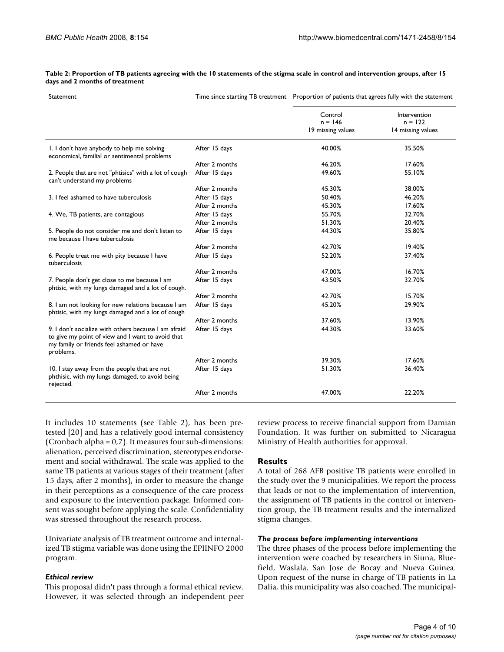| Statement                                                                                                                                                           |                | Time since starting TB treatment Proportion of patients that agrees fully with the statement |                                                |  |
|---------------------------------------------------------------------------------------------------------------------------------------------------------------------|----------------|----------------------------------------------------------------------------------------------|------------------------------------------------|--|
|                                                                                                                                                                     |                | Control<br>$n = 146$<br>19 missing values                                                    | Intervention<br>$n = 122$<br>14 missing values |  |
| 1. I don't have anybody to help me solving<br>economical, familial or sentimental problems                                                                          | After 15 days  | 40.00%                                                                                       | 35.50%                                         |  |
|                                                                                                                                                                     | After 2 months | 46.20%                                                                                       | 17.60%                                         |  |
| 2. People that are not "phtisics" with a lot of cough<br>can't understand my problems                                                                               | After 15 days  | 49.60%                                                                                       | 55.10%                                         |  |
|                                                                                                                                                                     | After 2 months | 45.30%                                                                                       | 38.00%                                         |  |
| 3. I feel ashamed to have tuberculosis                                                                                                                              | After 15 days  | 50.40%                                                                                       | 46.20%                                         |  |
|                                                                                                                                                                     | After 2 months | 45.30%                                                                                       | 17.60%                                         |  |
| 4. We, TB patients, are contagious                                                                                                                                  | After 15 days  | 55.70%                                                                                       | 32.70%                                         |  |
|                                                                                                                                                                     | After 2 months | 51.30%                                                                                       | 20.40%                                         |  |
| 5. People do not consider me and don't listen to<br>me because I have tuberculosis                                                                                  | After 15 days  | 44.30%                                                                                       | 35.80%                                         |  |
|                                                                                                                                                                     | After 2 months | 42.70%                                                                                       | 19.40%                                         |  |
| 6. People treat me with pity because I have<br>tuberculosis                                                                                                         | After 15 days  | 52.20%                                                                                       | 37.40%                                         |  |
|                                                                                                                                                                     | After 2 months | 47.00%                                                                                       | 16.70%                                         |  |
| 7. People don't get close to me because I am<br>phtisic, with my lungs damaged and a lot of cough.                                                                  | After 15 days  | 43.50%                                                                                       | 32.70%                                         |  |
|                                                                                                                                                                     | After 2 months | 42.70%                                                                                       | 15.70%                                         |  |
| 8. I am not looking for new relations because I am<br>phtisic, with my lungs damaged and a lot of cough                                                             | After 15 days  | 45.20%                                                                                       | 29.90%                                         |  |
|                                                                                                                                                                     | After 2 months | 37.60%                                                                                       | 13.90%                                         |  |
| 9. I don't socialize with others because I am afraid<br>to give my point of view and I want to avoid that<br>my family or friends feel ashamed or have<br>problems. | After 15 days  | 44.30%                                                                                       | 33.60%                                         |  |
|                                                                                                                                                                     | After 2 months | 39.30%                                                                                       | 17.60%                                         |  |
| 10. I stay away from the people that are not<br>phthisic, with my lungs damaged, to avoid being<br>rejected.                                                        | After 15 days  | 51.30%                                                                                       | 36.40%                                         |  |
|                                                                                                                                                                     | After 2 months | 47.00%                                                                                       | 22.20%                                         |  |

**Table 2: Proportion of TB patients agreeing with the 10 statements of the stigma scale in control and intervention groups, after 15 days and 2 months of treatment**

It includes 10 statements (see Table 2), has been pretested [20] and has a relatively good internal consistency (Cronbach alpha = 0,7). It measures four sub-dimensions: alienation, perceived discrimination, stereotypes endorsement and social withdrawal. The scale was applied to the same TB patients at various stages of their treatment (after 15 days, after 2 months), in order to measure the change in their perceptions as a consequence of the care process and exposure to the intervention package. Informed consent was sought before applying the scale. Confidentiality was stressed throughout the research process.

Univariate analysis of TB treatment outcome and internalized TB stigma variable was done using the EPIINFO 2000 program.

#### *Ethical review*

This proposal didn't pass through a formal ethical review. However, it was selected through an independent peer review process to receive financial support from Damian Foundation. It was further on submitted to Nicaragua Ministry of Health authorities for approval.

## **Results**

A total of 268 AFB positive TB patients were enrolled in the study over the 9 municipalities. We report the process that leads or not to the implementation of intervention, the assignment of TB patients in the control or intervention group, the TB treatment results and the internalized stigma changes.

#### *The process before implementing interventions*

The three phases of the process before implementing the intervention were coached by researchers in Siuna, Bluefield, Waslala, San Jose de Bocay and Nueva Guinea. Upon request of the nurse in charge of TB patients in La Dalia, this municipality was also coached. The municipal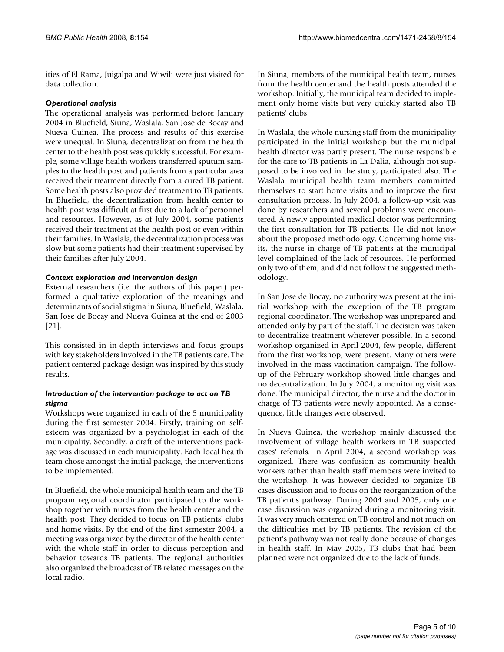ities of El Rama, Juigalpa and Wiwili were just visited for data collection.

## *Operational analysis*

The operational analysis was performed before January 2004 in Bluefield, Siuna, Waslala, San Jose de Bocay and Nueva Guinea. The process and results of this exercise were unequal. In Siuna, decentralization from the health center to the health post was quickly successful. For example, some village health workers transferred sputum samples to the health post and patients from a particular area received their treatment directly from a cured TB patient. Some health posts also provided treatment to TB patients. In Bluefield, the decentralization from health center to health post was difficult at first due to a lack of personnel and resources. However, as of July 2004, some patients received their treatment at the health post or even within their families. In Waslala, the decentralization process was slow but some patients had their treatment supervised by their families after July 2004.

#### *Context exploration and intervention design*

External researchers (i.e. the authors of this paper) performed a qualitative exploration of the meanings and determinants of social stigma in Siuna, Bluefield, Waslala, San Jose de Bocay and Nueva Guinea at the end of 2003 [21].

This consisted in in-depth interviews and focus groups with key stakeholders involved in the TB patients care. The patient centered package design was inspired by this study results.

## *Introduction of the intervention package to act on TB stigma*

Workshops were organized in each of the 5 municipality during the first semester 2004. Firstly, training on selfesteem was organized by a psychologist in each of the municipality. Secondly, a draft of the interventions package was discussed in each municipality. Each local health team chose amongst the initial package, the interventions to be implemented.

In Bluefield, the whole municipal health team and the TB program regional coordinator participated to the workshop together with nurses from the health center and the health post. They decided to focus on TB patients' clubs and home visits. By the end of the first semester 2004, a meeting was organized by the director of the health center with the whole staff in order to discuss perception and behavior towards TB patients. The regional authorities also organized the broadcast of TB related messages on the local radio.

In Siuna, members of the municipal health team, nurses from the health center and the health posts attended the workshop. Initially, the municipal team decided to implement only home visits but very quickly started also TB patients' clubs.

In Waslala, the whole nursing staff from the municipality participated in the initial workshop but the municipal health director was partly present. The nurse responsible for the care to TB patients in La Dalia, although not supposed to be involved in the study, participated also. The Waslala municipal health team members committed themselves to start home visits and to improve the first consultation process. In July 2004, a follow-up visit was done by researchers and several problems were encountered. A newly appointed medical doctor was performing the first consultation for TB patients. He did not know about the proposed methodology. Concerning home visits, the nurse in charge of TB patients at the municipal level complained of the lack of resources. He performed only two of them, and did not follow the suggested methodology.

In San Jose de Bocay, no authority was present at the initial workshop with the exception of the TB program regional coordinator. The workshop was unprepared and attended only by part of the staff. The decision was taken to decentralize treatment wherever possible. In a second workshop organized in April 2004, few people, different from the first workshop, were present. Many others were involved in the mass vaccination campaign. The followup of the February workshop showed little changes and no decentralization. In July 2004, a monitoring visit was done. The municipal director, the nurse and the doctor in charge of TB patients were newly appointed. As a consequence, little changes were observed.

In Nueva Guinea, the workshop mainly discussed the involvement of village health workers in TB suspected cases' referrals. In April 2004, a second workshop was organized. There was confusion as community health workers rather than health staff members were invited to the workshop. It was however decided to organize TB cases discussion and to focus on the reorganization of the TB patient's pathway. During 2004 and 2005, only one case discussion was organized during a monitoring visit. It was very much centered on TB control and not much on the difficulties met by TB patients. The revision of the patient's pathway was not really done because of changes in health staff. In May 2005, TB clubs that had been planned were not organized due to the lack of funds.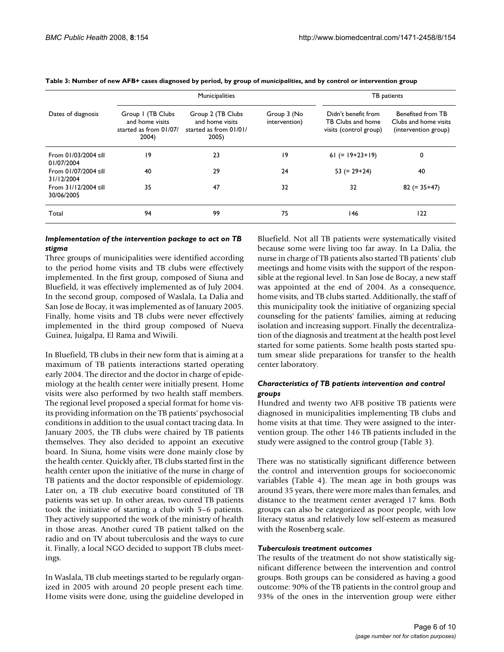|                                    | Municipalities                                                          |                                                                         |                              | TB patients                                                        |                                                                           |
|------------------------------------|-------------------------------------------------------------------------|-------------------------------------------------------------------------|------------------------------|--------------------------------------------------------------------|---------------------------------------------------------------------------|
| Dates of diagnosis                 | Group I (TB Clubs<br>and home visits<br>started as from 01/07/<br>2004) | Group 2 (TB Clubs<br>and home visits<br>started as from 01/01/<br>2005) | Group 3 (No<br>intervention) | Didn't benefit from<br>TB Clubs and home<br>visits (control group) | <b>Benefited from TB</b><br>Clubs and home visits<br>(intervention group) |
| From 01/03/2004 till<br>01/07/2004 | 19                                                                      | 23                                                                      | 19                           | $61 (= 19+23+19)$                                                  | 0                                                                         |
| From 01/07/2004 till<br>31/12/2004 | 40                                                                      | 29                                                                      | 24                           | $53 (= 29+24)$                                                     | 40                                                                        |
| From 31/12/2004 till<br>30/06/2005 | 35                                                                      | 47                                                                      | 32                           | 32                                                                 | $82 (= 35+47)$                                                            |
| Total                              | 94                                                                      | 99                                                                      | 75                           | 146                                                                | 122                                                                       |

Table 3: Number of new AFB+ cases diagnosed by period, by group of *municipalities*, and by control or intervention group

#### *Implementation of the intervention package to act on TB stigma*

Three groups of municipalities were identified according to the period home visits and TB clubs were effectively implemented. In the first group, composed of Siuna and Bluefield, it was effectively implemented as of July 2004. In the second group, composed of Waslala, La Dalia and San Jose de Bocay, it was implemented as of January 2005. Finally, home visits and TB clubs were never effectively implemented in the third group composed of Nueva Guinea, Juigalpa, El Rama and Wiwili.

In Bluefield, TB clubs in their new form that is aiming at a maximum of TB patients interactions started operating early 2004. The director and the doctor in charge of epidemiology at the health center were initially present. Home visits were also performed by two health staff members. The regional level proposed a special format for home visits providing information on the TB patients' psychosocial conditions in addition to the usual contact tracing data. In January 2005, the TB clubs were chaired by TB patients themselves. They also decided to appoint an executive board. In Siuna, home visits were done mainly close by the health center. Quickly after, TB clubs started first in the health center upon the initiative of the nurse in charge of TB patients and the doctor responsible of epidemiology. Later on, a TB club executive board constituted of TB patients was set up. In other areas, two cured TB patients took the initiative of starting a club with 5–6 patients. They actively supported the work of the ministry of health in those areas. Another cured TB patient talked on the radio and on TV about tuberculosis and the ways to cure it. Finally, a local NGO decided to support TB clubs meetings.

In Waslala, TB club meetings started to be regularly organized in 2005 with around 20 people present each time. Home visits were done, using the guideline developed in Bluefield. Not all TB patients were systematically visited because some were living too far away. In La Dalia, the nurse in charge of TB patients also started TB patients' club meetings and home visits with the support of the responsible at the regional level. In San Jose de Bocay, a new staff was appointed at the end of 2004. As a consequence, home visits, and TB clubs started. Additionally, the staff of this municipality took the initiative of organizing special counseling for the patients' families, aiming at reducing isolation and increasing support. Finally the decentralization of the diagnosis and treatment at the health post level started for some patients. Some health posts started sputum smear slide preparations for transfer to the health center laboratory.

## *Characteristics of TB patients intervention and control groups*

Hundred and twenty two AFB positive TB patients were diagnosed in municipalities implementing TB clubs and home visits at that time. They were assigned to the intervention group. The other 146 TB patients included in the study were assigned to the control group (Table 3).

There was no statistically significant difference between the control and intervention groups for socioeconomic variables (Table 4). The mean age in both groups was around 35 years, there were more males than females, and distance to the treatment center averaged 17 kms. Both groups can also be categorized as poor people, with low literacy status and relatively low self-esteem as measured with the Rosenberg scale.

## *Tuberculosis treatment outcomes*

The results of the treatment do not show statistically significant difference between the intervention and control groups. Both groups can be considered as having a good outcome: 90% of the TB patients in the control group and 93% of the ones in the intervention group were either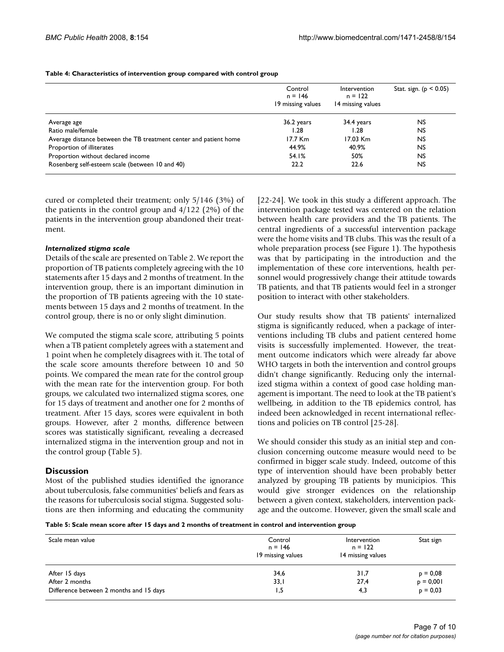**Table 4: Characteristics of intervention group compared with control group**

|                                                                   | Control<br>$n = 146$<br>19 missing values | Intervention<br>$n = 122$<br>14 missing values | Stat. sign. ( $p < 0.05$ ) |
|-------------------------------------------------------------------|-------------------------------------------|------------------------------------------------|----------------------------|
| Average age                                                       | 36.2 years                                | 34.4 years                                     | <b>NS</b>                  |
| Ratio male/female                                                 | I.28                                      | l.28                                           | <b>NS</b>                  |
| Average distance between the TB treatment center and patient home | $17.7$ Km                                 | 17.03 Km                                       | <b>NS</b>                  |
| Proportion of illiterates                                         | 44.9%                                     | 40.9%                                          | <b>NS</b>                  |
| Proportion without declared income                                | 54.1%                                     | 50%                                            | <b>NS</b>                  |
| Rosenberg self-esteem scale (between 10 and 40)                   | 22.2                                      | 22.6                                           | <b>NS</b>                  |

cured or completed their treatment; only 5/146 (3%) of the patients in the control group and  $4/122$  (2%) of the patients in the intervention group abandoned their treatment.

#### *Internalized stigma scale*

Details of the scale are presented on Table 2. We report the proportion of TB patients completely agreeing with the 10 statements after 15 days and 2 months of treatment. In the intervention group, there is an important diminution in the proportion of TB patients agreeing with the 10 statements between 15 days and 2 months of treatment. In the control group, there is no or only slight diminution.

We computed the stigma scale score, attributing 5 points when a TB patient completely agrees with a statement and 1 point when he completely disagrees with it. The total of the scale score amounts therefore between 10 and 50 points. We compared the mean rate for the control group with the mean rate for the intervention group. For both groups, we calculated two internalized stigma scores, one for 15 days of treatment and another one for 2 months of treatment. After 15 days, scores were equivalent in both groups. However, after 2 months, difference between scores was statistically significant, revealing a decreased internalized stigma in the intervention group and not in the control group (Table 5).

#### **Discussion**

Most of the published studies identified the ignorance about tuberculosis, false communities' beliefs and fears as the reasons for tuberculosis social stigma. Suggested solutions are then informing and educating the community [22-24]. We took in this study a different approach. The intervention package tested was centered on the relation between health care providers and the TB patients. The central ingredients of a successful intervention package were the home visits and TB clubs. This was the result of a whole preparation process (see Figure 1). The hypothesis was that by participating in the introduction and the implementation of these core interventions, health personnel would progressively change their attitude towards TB patients, and that TB patients would feel in a stronger position to interact with other stakeholders.

Our study results show that TB patients' internalized stigma is significantly reduced, when a package of interventions including TB clubs and patient centered home visits is successfully implemented. However, the treatment outcome indicators which were already far above WHO targets in both the intervention and control groups didn't change significantly. Reducing only the internalized stigma within a context of good case holding management is important. The need to look at the TB patient's wellbeing, in addition to the TB epidemics control, has indeed been acknowledged in recent international reflections and policies on TB control [25-28].

We should consider this study as an initial step and conclusion concerning outcome measure would need to be confirmed in bigger scale study. Indeed, outcome of this type of intervention should have been probably better analyzed by grouping TB patients by municipios. This would give stronger evidences on the relationship between a given context, stakeholders, intervention package and the outcome. However, given the small scale and

**Table 5: Scale mean score after 15 days and 2 months of treatment in control and intervention group**

| Scale mean value                        | Control<br>$n = 146$<br>19 missing values | Intervention<br>$n = 122$<br>14 missing values | Stat sign   |
|-----------------------------------------|-------------------------------------------|------------------------------------------------|-------------|
| After 15 days                           | 34,6                                      | 31,7                                           | $p = 0.08$  |
| After 2 months                          | 33,1                                      | 27,4                                           | $p = 0,001$ |
| Difference between 2 months and 15 days | ۱,5                                       | 4,3                                            | $p = 0,03$  |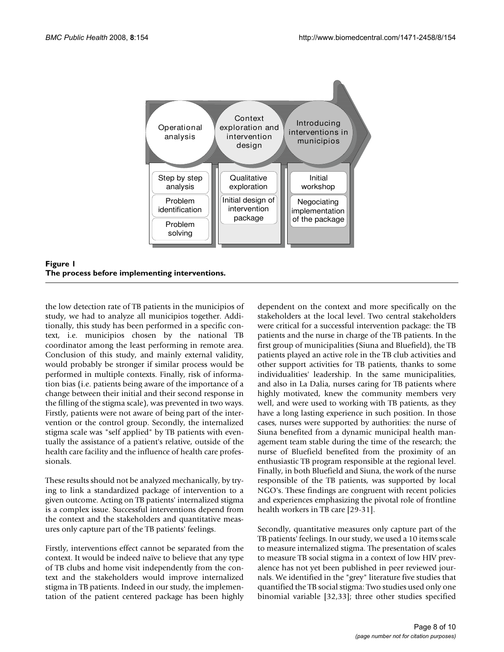

Figure 1 **The process before implementing interventions.**

the low detection rate of TB patients in the municipios of study, we had to analyze all municipios together. Additionally, this study has been performed in a specific context, i.e. municipios chosen by the national TB coordinator among the least performing in remote area. Conclusion of this study, and mainly external validity, would probably be stronger if similar process would be performed in multiple contexts. Finally, risk of information bias (i.e. patients being aware of the importance of a change between their initial and their second response in the filling of the stigma scale), was prevented in two ways. Firstly, patients were not aware of being part of the intervention or the control group. Secondly, the internalized stigma scale was "self applied" by TB patients with eventually the assistance of a patient's relative, outside of the health care facility and the influence of health care professionals.

These results should not be analyzed mechanically, by trying to link a standardized package of intervention to a given outcome. Acting on TB patients' internalized stigma is a complex issue. Successful interventions depend from the context and the stakeholders and quantitative measures only capture part of the TB patients' feelings.

Firstly, interventions effect cannot be separated from the context. It would be indeed naïve to believe that any type of TB clubs and home visit independently from the context and the stakeholders would improve internalized stigma in TB patients. Indeed in our study, the implementation of the patient centered package has been highly dependent on the context and more specifically on the stakeholders at the local level. Two central stakeholders were critical for a successful intervention package: the TB patients and the nurse in charge of the TB patients. In the first group of municipalities (Siuna and Bluefield), the TB patients played an active role in the TB club activities and other support activities for TB patients, thanks to some individualities' leadership. In the same municipalities, and also in La Dalia, nurses caring for TB patients where highly motivated, knew the community members very well, and were used to working with TB patients, as they have a long lasting experience in such position. In those cases, nurses were supported by authorities: the nurse of Siuna benefited from a dynamic municipal health management team stable during the time of the research; the nurse of Bluefield benefited from the proximity of an enthusiastic TB program responsible at the regional level. Finally, in both Bluefield and Siuna, the work of the nurse responsible of the TB patients, was supported by local NGO's. These findings are congruent with recent policies and experiences emphasizing the pivotal role of frontline health workers in TB care [29-31].

Secondly, quantitative measures only capture part of the TB patients' feelings. In our study, we used a 10 items scale to measure internalized stigma. The presentation of scales to measure TB social stigma in a context of low HIV prevalence has not yet been published in peer reviewed journals. We identified in the "grey" literature five studies that quantified the TB social stigma: Two studies used only one binomial variable [32,33]; three other studies specified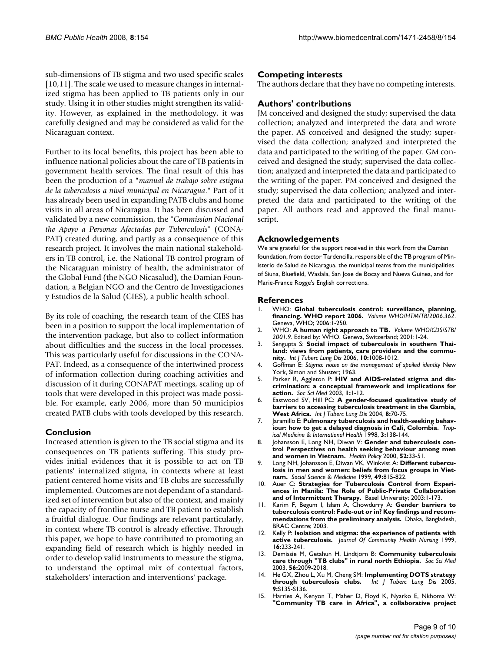sub-dimensions of TB stigma and two used specific scales [10,11]. The scale we used to measure changes in internalized stigma has been applied to TB patients only in our study. Using it in other studies might strengthen its validity. However, as explained in the methodology, it was carefully designed and may be considered as valid for the Nicaraguan context.

Further to its local benefits, this project has been able to influence national policies about the care of TB patients in government health services. The final result of this has been the production of a "*manual de trabajo sobre estigma de la tuberculosis a nivel municipal en Nicaragua*." Part of it has already been used in expanding PATB clubs and home visits in all areas of Nicaragua. It has been discussed and validated by a new commission, the "*Commission Nacional the Apoyo a Personas Afectadas por Tuberculosis*" (CONA-PAT) created during, and partly as a consequence of this research project. It involves the main national stakeholders in TB control, i.e. the National TB control program of the Nicaraguan ministry of health, the administrator of the Global Fund (the NGO Nicasalud), the Damian Foundation, a Belgian NGO and the Centro de Investigaciones y Estudios de la Salud (CIES), a public health school.

By its role of coaching, the research team of the CIES has been in a position to support the local implementation of the intervention package, but also to collect information about difficulties and the success in the local processes. This was particularly useful for discussions in the CONA-PAT. Indeed, as a consequence of the intertwined process of information collection during coaching activities and discussion of it during CONAPAT meetings, scaling up of tools that were developed in this project was made possible. For example, early 2006, more than 50 municipios created PATB clubs with tools developed by this research.

## **Conclusion**

Increased attention is given to the TB social stigma and its consequences on TB patients suffering. This study provides initial evidences that it is possible to act on TB patients' internalized stigma, in contexts where at least patient centered home visits and TB clubs are successfully implemented. Outcomes are not dependant of a standardized set of intervention but also of the context, and mainly the capacity of frontline nurse and TB patient to establish a fruitful dialogue. Our findings are relevant particularly, in context where TB control is already effective. Through this paper, we hope to have contributed to promoting an expanding field of research which is highly needed in order to develop valid instruments to measure the stigma, to understand the optimal mix of contextual factors, stakeholders' interaction and interventions' package.

#### **Competing interests**

The authors declare that they have no competing interests.

#### **Authors' contributions**

JM conceived and designed the study; supervised the data collection; analyzed and interpreted the data and wrote the paper. AS conceived and designed the study; supervised the data collection; analyzed and interpreted the data and participated to the writing of the paper. GM conceived and designed the study; supervised the data collection; analyzed and interpreted the data and participated to the writing of the paper. PM conceived and designed the study; supervised the data collection; analyzed and interpreted the data and participated to the writing of the paper. All authors read and approved the final manuscript.

#### **Acknowledgements**

We are grateful for the support received in this work from the Damian foundation, from doctor Tardencilla, responsible of the TB program of Ministerio de Salud de Nicaragua, the municipal teams from the municipalities of Siuna, Bluefield, Waslala, San Jose de Bocay and Nueva Guinea, and for Marie-France Rogge's English corrections.

#### **References**

- 1. WHO: **Global tuberculosis control: surveillance, planning, financing. WHO report 2006.** *Volume WHO/HTM/TB/2006.362*. Geneva, WHO; 2006:1-250.
- 2. WHO: **A human right approach to TB.** *Volume WHO/CDS/STB/ 2001.9*. Edited by: WHO. Geneva, Switzerland; 2001:1-24.
- 3. Sengupta S: **[Social impact of tuberculosis in southern Thai](http://www.ncbi.nlm.nih.gov/entrez/query.fcgi?cmd=Retrieve&db=PubMed&dopt=Abstract&list_uids=16964792)[land: views from patients, care providers and the commu](http://www.ncbi.nlm.nih.gov/entrez/query.fcgi?cmd=Retrieve&db=PubMed&dopt=Abstract&list_uids=16964792)[nity.](http://www.ncbi.nlm.nih.gov/entrez/query.fcgi?cmd=Retrieve&db=PubMed&dopt=Abstract&list_uids=16964792)** *Int J Tuberc Lung Dis* 2006, **10:**1008-1012.
- 4. Goffman E: *Stigma: notes on the management of spoiled identity* New York, Simon and Shuster; 1963.
- 5. Parker R, Aggleton P: **[HIV and AIDS-related stigma and dis](http://www.ncbi.nlm.nih.gov/entrez/query.fcgi?cmd=Retrieve&db=PubMed&dopt=Abstract&list_uids=12753813)[crimination: a conceptual framework and implications for](http://www.ncbi.nlm.nih.gov/entrez/query.fcgi?cmd=Retrieve&db=PubMed&dopt=Abstract&list_uids=12753813) [action.](http://www.ncbi.nlm.nih.gov/entrez/query.fcgi?cmd=Retrieve&db=PubMed&dopt=Abstract&list_uids=12753813)** *Soc Sci Med* 2003, **1:**1-12.
- 6. Eastwood SV, Hill PC: **[A gender-focused qualitative study of](http://www.ncbi.nlm.nih.gov/entrez/query.fcgi?cmd=Retrieve&db=PubMed&dopt=Abstract&list_uids=14974748) [barriers to accessing tuberculosis treatment in the Gambia,](http://www.ncbi.nlm.nih.gov/entrez/query.fcgi?cmd=Retrieve&db=PubMed&dopt=Abstract&list_uids=14974748) [West Africa.](http://www.ncbi.nlm.nih.gov/entrez/query.fcgi?cmd=Retrieve&db=PubMed&dopt=Abstract&list_uids=14974748)** *Int J Tuberc Lung Dis* 2004, **8:**70-75.
- 7. Jaramillo E: **[Pulmonary tuberculosis and health-seeking behav](http://www.ncbi.nlm.nih.gov/entrez/query.fcgi?cmd=Retrieve&db=PubMed&dopt=Abstract&list_uids=9537276)[iour: how to get a delayed diagnosis in Cali, Colombia.](http://www.ncbi.nlm.nih.gov/entrez/query.fcgi?cmd=Retrieve&db=PubMed&dopt=Abstract&list_uids=9537276)** *Tropical Medicine & International Health* 1998, **3:**138-144.
- 8. Johansson E, Long NH, Diwan V: **[Gender and tuberculosis con](http://www.ncbi.nlm.nih.gov/entrez/query.fcgi?cmd=Retrieve&db=PubMed&dopt=Abstract&list_uids=10899643)[trol Perspectives on health seeking behaviour among men](http://www.ncbi.nlm.nih.gov/entrez/query.fcgi?cmd=Retrieve&db=PubMed&dopt=Abstract&list_uids=10899643) [and women in Vietnam.](http://www.ncbi.nlm.nih.gov/entrez/query.fcgi?cmd=Retrieve&db=PubMed&dopt=Abstract&list_uids=10899643)** *Health Policy* 2000, **52:**33-51.
- 9. Long NH, Johansson E, Diwan VK, Winkvist A: **Different tuberculosis in men and women: beliefs from focus groups in Vietnam.** *Social Science & Medicine* 1999, **49:**815-822.
- 10. Auer C: **[Strategies for Tuberculosis Control from Experi](http://www.ncbi.nlm.nih.gov/entrez/query.fcgi?cmd=Retrieve&db=PubMed&dopt=Abstract&list_uids=12593966)[ences in Manila: The Role of Public-Private Collaboration](http://www.ncbi.nlm.nih.gov/entrez/query.fcgi?cmd=Retrieve&db=PubMed&dopt=Abstract&list_uids=12593966) [and of Intermittent Therapy.](http://www.ncbi.nlm.nih.gov/entrez/query.fcgi?cmd=Retrieve&db=PubMed&dopt=Abstract&list_uids=12593966)** Basel University; 2003:1-173.
- 11. Karim F, Begum I, Islam A, Chowdurry A: **Gender barriers to tuberculosis control: Fade-out or in? Key findings and recommendations from the preliminary analysis.** Dhaka, Bangladesh, BRAC Centre; 2003.
- 12. Kelly P: **[Isolation and stigma: the experience of patients with](http://www.ncbi.nlm.nih.gov/entrez/query.fcgi?cmd=Retrieve&db=PubMed&dopt=Abstract&list_uids=10628114) [active tuberculosis.](http://www.ncbi.nlm.nih.gov/entrez/query.fcgi?cmd=Retrieve&db=PubMed&dopt=Abstract&list_uids=10628114)** *Journal Of Community Health Nursing* 1999, **16:**233-241.
- 13. Demissie M, Getahun H, Lindtjorn B: **[Community tuberculosis](http://www.ncbi.nlm.nih.gov/entrez/query.fcgi?cmd=Retrieve&db=PubMed&dopt=Abstract&list_uids=12697193) [care through "TB clubs" in rural north Ethiopia.](http://www.ncbi.nlm.nih.gov/entrez/query.fcgi?cmd=Retrieve&db=PubMed&dopt=Abstract&list_uids=12697193)** *Soc Sci Med* 2003, **56:**2009-2018.
- 14. He GX, Zhou L, Xu M, Cheng SM: **Implementing DOTS strategy through tuberculosis clubs.** *Int J Tuberc Lung Dis* 2005, **9:**S135-S136.
- 15. Harries A, Kenyon T, Maher D, Floyd K, Nyarko E, Nkhoma W: **"Community TB care in Africa", a collaborative project**